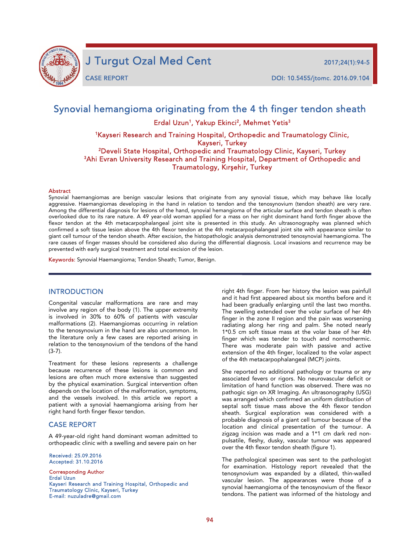

J Turgut Ozal Med Cent 2017;24(1):94-5

j

CASE REPORT DOI: 10.5455/jtomc. 2016.09.104

# Synovial hemangioma originating from the 4 th finger tendon sheath

Erdal Uzun<sup>1</sup>, Yakup Ekinci<sup>2</sup>, Mehmet Yetis<sup>3</sup>

1Kayseri Research and Training Hospital, Orthopedic and Traumatology Clinic, Kayseri, Turkey<br><sup>2</sup>Develi State Hospital, Orthopedic and Traumatology Clinic, Kayseri, Turkey

3Ahi Evran University Research and Training Hospital, Department of Orthopedic and Traumatology, Kırşehir, Turkey

#### **Abstract**

Synovial haemangiomas are benign vascular lesions that originate from any synovial tissue, which may behave like locally aggressive. Haemangiomas developing in the hand in relation to tendon and the tenosynovium (tendon sheath) are very rare. Among the differential diagnosis for lesions of the hand, synovial hemangioma of the articular surface and tendon sheath is often overlooked due to its rare nature. A 49 year-old woman applied for a mass on her right dominant hand forth finger above the flexor tendon at the 4th metacarpophalangeal joint site is presented in this study. An ultrasonography was planned which confirmed a soft tissue lesion above the 4th flexor tendon at the 4th metacarpophalangeal joint site with appearance similar to giant cell tumour of the tendon sheath. After excision, the histopathologic analysis demonstrated tenosynovial haemangioma. The rare causes of finger masses should be considered also during the differential diagnosis. Local invasions and recurrence may be prevented with early surgical treatment and total excision of the lesion.

Keywords: Synovial Haemangioma; Tendon Sheath; Tumor, Benign.

### INTRODUCTION

Congenital vascular malformations are rare and may involve any region of the body (1). The upper extremity is involved in 30% to 60% of patients with vascular malformations (2). Haemangiomas occurring in relation to the tenosynovium in the hand are also uncommon. In the literature only a few cases are reported arising in relation to the tenosynovium of the tendons of the hand (3-7).

Treatment for these lesions represents a challenge because recurrence of these lesions is common and lesions are often much more extensive than suggested by the physical examination. Surgical intervention often depends on the location of the malformation, symptoms, and the vessels involved. In this article we report a patient with a synovial haemangioma arising from her right hand forth finger flexor tendon.

## CASE REPORT

A 49-year-old right hand dominant woman admitted to orthopeadic clinic with a swelling and severe pain on her

Received: 25.09.2016 Accepted: 31.10.2016

Corresponding Author Erdal Uzun Kayseri Research and Training Hospital, Orthopedic and Traumatology Clinic, Kayseri, Turkey E-mail: nuzuladre@gmail.com

right 4th finger. From her history the lesion was painfull and it had first appeared about six months before and it had been gradually enlarging until the last two months. The swelling extended over the volar surface of her 4th finger in the zone II region and the pain was worsening radiating along her ring and palm. She noted nearly 1\*0.5 cm soft tissue mass at the volar base of her 4th finger which was tender to touch and normothermic. There was moderate pain with passive and active extension of the 4th finger, localized to the volar aspect of the 4th metacarpophalangeal (MCP) joints.

She reported no additional pathology or trauma or any associated fevers or rigors. No neurovascular deficit or limitation of hand function was observed. There was no pathogic sign on XR Imaging. An ultrasonography (USG) was arranged which confirmed an uniform distribution of septal soft tissue mass above the 4th flexor tendon sheath. Surgical exploration was considered with a probable diagnosis of a giant cell tumour because of the location and clinical presentation of the tumour. A zigzag incision was made and a 1\*1 cm dark red nonpulsatile, fleshy, dusky, vascular tumour was appeared over the 4th flexor tendon sheath (figure 1).

The pathological specimen was sent to the pathologist for examination. Histology report revealed that the tenosynovium was expanded by a dilated, thin-walled vascular lesion. The appearances were those of a synovial haemangioma of the tenosynovium of the flexor tendons. The patient was informed of the histology and